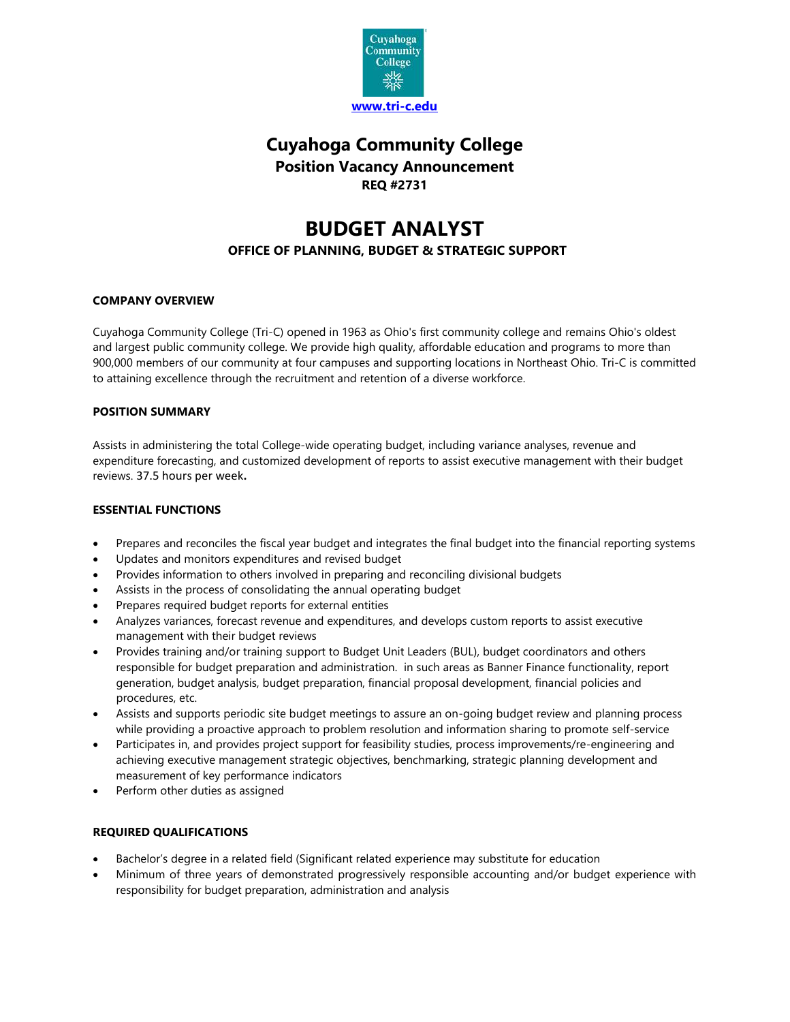

# **Cuyahoga Community College Position Vacancy Announcement REQ #2731**

# **BUDGET ANALYST**

# **OFFICE OF PLANNING, BUDGET & STRATEGIC SUPPORT**

# **COMPANY OVERVIEW**

Cuyahoga Community College (Tri-C) opened in 1963 as Ohio's first community college and remains Ohio's oldest and largest public community college. We provide high quality, affordable education and programs to more than 900,000 members of our community at four campuses and supporting locations in Northeast Ohio. Tri-C is committed to attaining excellence through the recruitment and retention of a diverse workforce.

### **POSITION SUMMARY**

Assists in administering the total College-wide operating budget, including variance analyses, revenue and expenditure forecasting, and customized development of reports to assist executive management with their budget reviews. 37.5 hours per week**.** 

#### **ESSENTIAL FUNCTIONS**

- Prepares and reconciles the fiscal year budget and integrates the final budget into the financial reporting systems
- Updates and monitors expenditures and revised budget
- Provides information to others involved in preparing and reconciling divisional budgets
- Assists in the process of consolidating the annual operating budget
- Prepares required budget reports for external entities
- Analyzes variances, forecast revenue and expenditures, and develops custom reports to assist executive management with their budget reviews
- Provides training and/or training support to Budget Unit Leaders (BUL), budget coordinators and others responsible for budget preparation and administration. in such areas as Banner Finance functionality, report generation, budget analysis, budget preparation, financial proposal development, financial policies and procedures, etc.
- Assists and supports periodic site budget meetings to assure an on-going budget review and planning process while providing a proactive approach to problem resolution and information sharing to promote self-service
- Participates in, and provides project support for feasibility studies, process improvements/re-engineering and achieving executive management strategic objectives, benchmarking, strategic planning development and measurement of key performance indicators
- Perform other duties as assigned

# **REQUIRED QUALIFICATIONS**

- Bachelor's degree in a related field (Significant related experience may substitute for education
- Minimum of three years of demonstrated progressively responsible accounting and/or budget experience with responsibility for budget preparation, administration and analysis